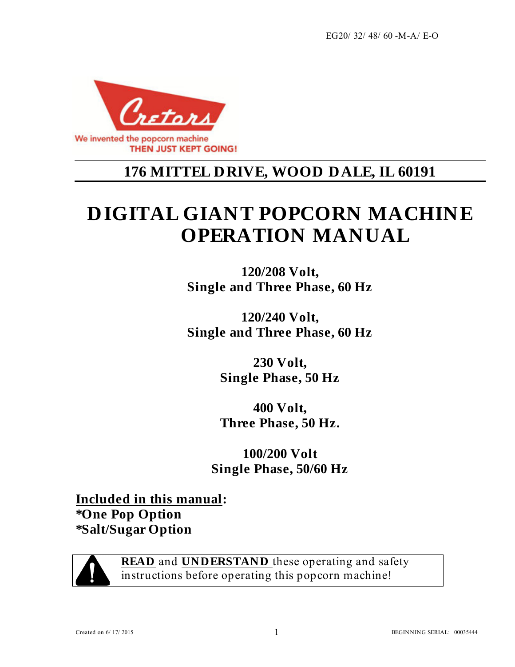EG20/ 32/ 48/ 60 -M-A/ E-O



# **176 MITTEL DRIVE, WOOD DALE, IL 60191**

# **DIGITAL GIANT POPCORN MACHINE OPERATION MANUAL**

**120/208 Volt, Single and Three Phase, 60 Hz** 

**120/240 Volt, Single and Three Phase, 60 Hz** 

> **230 Volt, Single Phase, 50 Hz**

**400 Volt, Three Phase, 50 Hz.** 

**100/200 Volt Single Phase, 50/60 Hz** 

**Included in this manual: \*One Pop Option \*Salt/Sugar Option**



**READ** and **UNDERSTAND** these operating and safety instructions before operating this popcorn machine!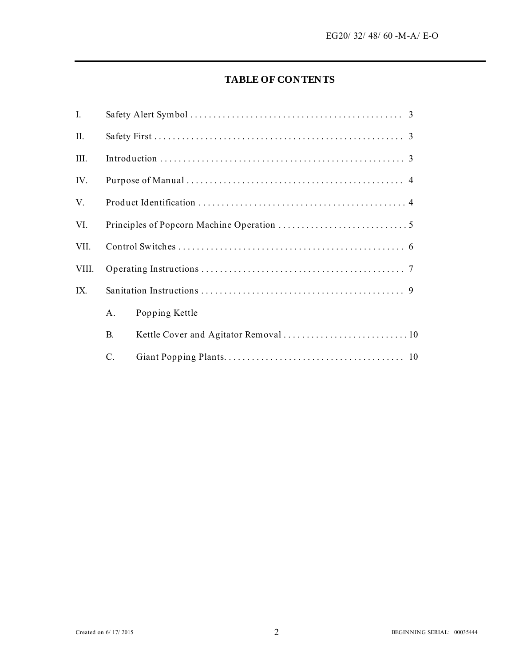#### **TABLE OF CONTENTS**

| I.    |           |                |  |  |
|-------|-----------|----------------|--|--|
| II.   |           |                |  |  |
| III.  |           |                |  |  |
| IV.   |           |                |  |  |
| V.    |           |                |  |  |
| VI.   |           |                |  |  |
| VII.  |           |                |  |  |
| VIII. |           |                |  |  |
| IX.   |           |                |  |  |
|       | A.        | Popping Kettle |  |  |
|       | <b>B.</b> |                |  |  |
|       | C.        |                |  |  |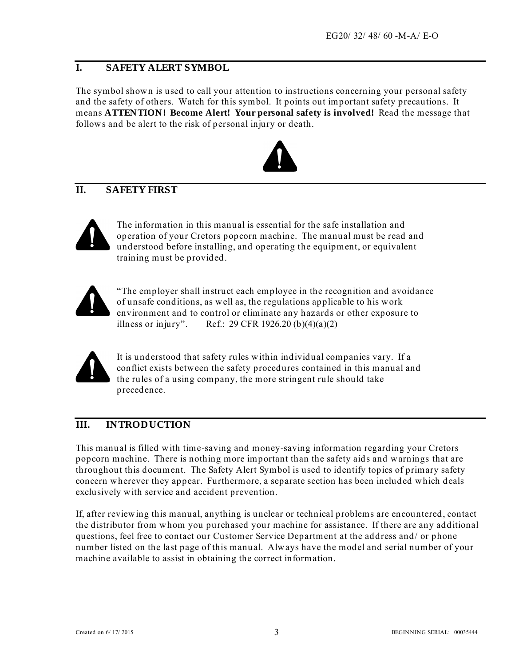#### **I. SAFETY ALERT SYMBOL**

The symbol shown is used to call your attention to instructions concerning your personal safety and the safety of others. Watch for this symbol. It points out important safety precautions. It means **ATTENTION! Become Alert! Your personal safety is involved!** Read the message that follows and be alert to the risk of personal injury or death.



# **II. SAFETY FIRST**



The information in this manual is essential for the safe installation and operation of your Cretors popcorn machine. The manual must be read and understood before installing, and operating the equipment, or equivalent training must be provided.



"The employer shall instruct each employee in the recognition and avoidance of unsafe conditions, as well as, the regulations applicable to his work environment and to control or eliminate any hazards or other exposure to illness or injury". Ref.: 29 CFR 1926.20 (b)(4)(a)(2)



It is understood that safety rules within individual companies vary. If a conflict exists between the safety procedures contained in this manual and the rules of a using company, the more stringent rule should take precedence.

#### **III. INTRODUCTION**

This manual is filled with time-saving and money-saving information regarding your Cretors popcorn machine. There is nothing more important than the safety aids and warnings that are throughout this document. The Safety Alert Symbol is used to identify topics of primary safety concern wherever they appear. Furthermore, a separate section has been included which deals exclusively with service and accident prevention.

If, after reviewing this manual, anything is unclear or technical problems are encountered, contact the distributor from whom you purchased your machine for assistance. If there are any additional questions, feel free to contact our Customer Service Department at the address and/ or phone number listed on the last page of this manual. Always have the model and serial number of your machine available to assist in obtaining the correct information.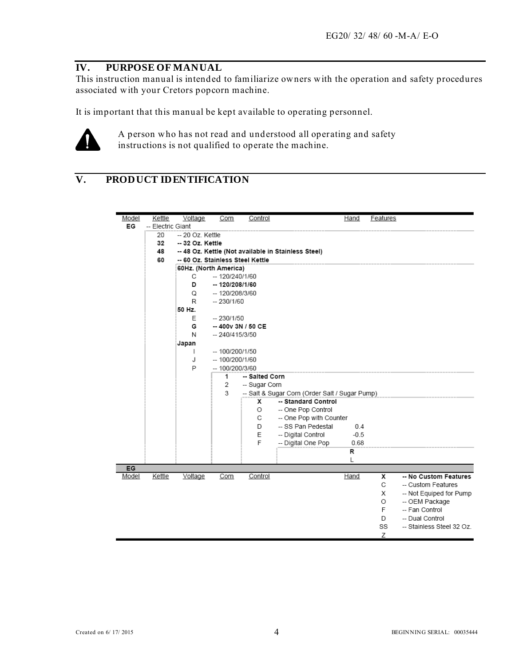#### **IV. PURPOSE OF MANUAL**

This instruction manual is intended to familiarize owners with the operation and safety procedures associated with your Cretors popcorn machine.

It is important that this manual be kept available to operating personnel.



A person who has not read and understood all operating and safety instructions is not qualified to operate the machine.

# **V. PRODUCT IDENTIFICATION**

| Model | Kettle            | Voltage                          | Corn                 | Control        |                                                     | Hand   | Features |                           |
|-------|-------------------|----------------------------------|----------------------|----------------|-----------------------------------------------------|--------|----------|---------------------------|
| EG    | -- Electric Giant |                                  |                      |                |                                                     |        |          |                           |
|       | 20                | -- 20 Oz. Kettle                 |                      |                |                                                     |        |          |                           |
|       | 32                | -- 32 Oz. Kettle                 |                      |                |                                                     |        |          |                           |
|       | 48                |                                  |                      |                | -- 48 Oz. Kettle (Not available in Stainless Steel) |        |          |                           |
|       | 60                | -- 60 Oz. Stainless Steel Kettle |                      |                |                                                     |        |          |                           |
|       |                   | 60Hz. (North America)            |                      |                |                                                     |        |          |                           |
|       |                   | C                                | $-120/240/1/60$      |                |                                                     |        |          |                           |
|       |                   | D                                | $-120/208/1/60$      |                |                                                     |        |          |                           |
|       |                   | Q                                | -- 120/208/3/60      |                |                                                     |        |          |                           |
|       |                   | R                                | $-230/1/60$          |                |                                                     |        |          |                           |
|       |                   | 50 Hz.                           |                      |                |                                                     |        |          |                           |
|       |                   | Ε                                | $-230/1/50$          |                |                                                     |        |          |                           |
|       |                   | G                                | $-400v$ 3N / 50 CE   |                |                                                     |        |          |                           |
|       |                   | N                                | $-240/415/3/50$      |                |                                                     |        |          |                           |
|       |                   | Japan                            |                      |                |                                                     |        |          |                           |
|       |                   | т                                | $-100/200/1/50$      |                |                                                     |        |          |                           |
|       |                   | J                                | -- 100/200/1/60      |                |                                                     |        |          |                           |
|       |                   | P                                | $-100/200/3/60$<br>1 | -- Salted Corn |                                                     |        |          |                           |
|       |                   |                                  | 2                    | -- Sugar Corn  |                                                     |        |          |                           |
|       |                   |                                  | 3                    |                | -- Salt & Sugar Corn (Order Salt / Sugar Pump)      |        |          |                           |
|       |                   |                                  |                      | x              | -- Standard Control                                 |        |          |                           |
|       |                   |                                  |                      | O              | -- One Pop Control                                  |        |          |                           |
|       |                   |                                  |                      | C              | -- One Pop with Counter                             |        |          |                           |
|       |                   |                                  |                      | D              | -- SS Pan Pedestal                                  | 0.4    |          |                           |
|       |                   |                                  |                      | E              | -- Digital Control                                  | $-0.5$ |          |                           |
|       |                   |                                  |                      | F              | -- Digital One Pop                                  | 0.68   |          |                           |
|       |                   |                                  |                      |                |                                                     | R      |          |                           |
|       |                   |                                  |                      |                |                                                     | L      |          |                           |
| EG    |                   |                                  |                      |                |                                                     |        |          |                           |
| Model | Kettle            | Voltage                          | Corn                 | Control        |                                                     | Hand   | x        | -- No Custom Features     |
|       |                   |                                  |                      |                |                                                     |        | C        | -- Custom Features        |
|       |                   |                                  |                      |                |                                                     |        | X        | -- Not Equiped for Pump   |
|       |                   |                                  |                      |                |                                                     |        | O        | -- OEM Package            |
|       |                   |                                  |                      |                |                                                     |        | F        | -- Fan Control            |
|       |                   |                                  |                      |                |                                                     |        | D        | -- Dual Control           |
|       |                   |                                  |                      |                |                                                     |        | SS       | -- Stainless Steel 32 Oz. |
|       |                   |                                  |                      |                |                                                     |        | Ζ        |                           |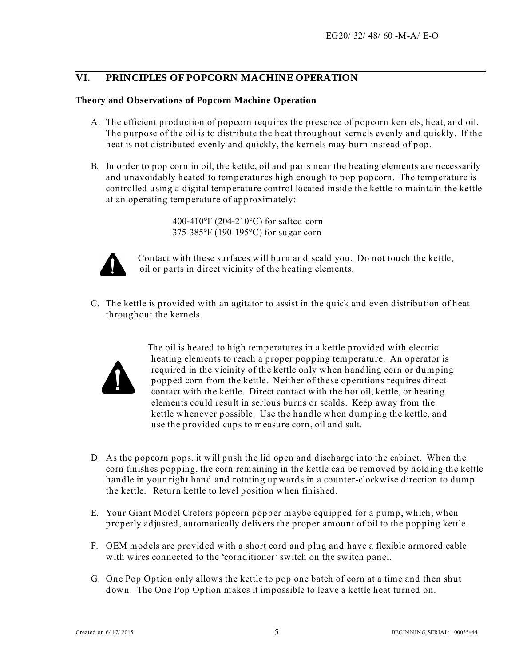#### **VI. PRINCIPLES OF POPCORN MACHINE OPERATION**

#### **Theory and Observations of Popcorn Machine Operation**

- A. The efficient production of popcorn requires the presence of popcorn kernels, heat, and oil. The purpose of the oil is to distribute the heat throughout kernels evenly and quickly. If the heat is not distributed evenly and quickly, the kernels may burn instead of pop.
- B. In order to pop corn in oil, the kettle, oil and parts near the heating elements are necessarily and unavoidably heated to temperatures high enough to pop popcorn. The temperature is controlled using a digital temperature control located inside the kettle to maintain the kettle at an operating temperature of approximately:

 400-410°F (204-210°C) for salted corn 375-385°F (190-195°C) for sugar corn



 Contact with these surfaces will burn and scald you. Do not touch the kettle, oil or parts in direct vicinity of the heating elements.

C. The kettle is provided with an agitator to assist in the quick and even distribution of heat throughout the kernels.



The oil is heated to high temperatures in a kettle provided with electric heating elements to reach a proper popping temperature. An operator is required in the vicinity of the kettle only when handling corn or dumping popped corn from the kettle. Neither of these operations requires direct contact with the kettle. Direct contact with the hot oil, kettle, or heating elements could result in serious burns or scalds. Keep away from the kettle whenever possible. Use the handle when dumping the kettle, and use the provided cups to measure corn, oil and salt.

- D. As the popcorn pops, it will push the lid open and discharge into the cabinet. When the corn finishes popping, the corn remaining in the kettle can be removed by holding the kettle handle in your right hand and rotating upwards in a counter-clockwise direction to dump the kettle. Return kettle to level position when finished.
- E. Your Giant Model Cretors popcorn popper maybe equipped for a pump, which, when properly adjusted, automatically delivers the proper amount of oil to the popping kettle.
- F. OEM models are provided with a short cord and plug and have a flexible armored cable with wires connected to the 'cornditioner' switch on the switch panel.
- G. One Pop Option only allows the kettle to pop one batch of corn at a time and then shut down. The One Pop Option makes it impossible to leave a kettle heat turned on.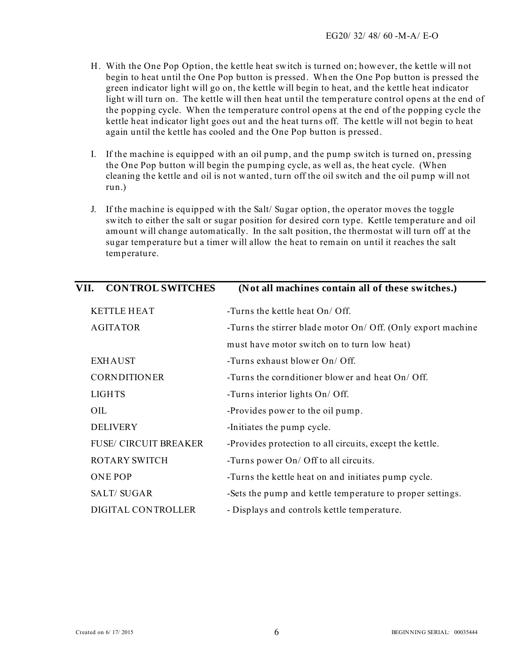- H. With the One Pop Option, the kettle heat switch is turned on; however, the kettle will not begin to heat until the One Pop button is pressed. Wh en the One Pop button is pressed the green indicator light will go on, the kettle will begin to heat, and the kettle heat indicator light will turn on. The kettle will then heat until the temperature control opens at the end of the popping cycle. When the temperature control opens at the end of the popping cycle the kettle heat indicator light goes out and the heat turns off. The kettle will not begin to heat again until the kettle has cooled and the One Pop button is pressed.
- I. If the machine is equipped with an oil pump, and the pump switch is turned on, pressing the One Pop button will begin the pumping cycle, as well as, the heat cycle. (When cleaning the kettle and oil is not wanted, turn off the oil switch and the oil pump will not run.)
- J. If the machine is equipped with the Salt/ Sugar option, the operator moves the toggle switch to either the salt or sugar position for desired corn type. Kettle temperature and oil amount will change automatically. In the salt position, the thermostat will turn off at the sugar temperature but a timer will allow the heat to remain on until it reaches the salt temperature.

| <b>KETTLE HEAT</b>           | -Turns the kettle heat $On/Off$ .                            |
|------------------------------|--------------------------------------------------------------|
| <b>AGITATOR</b>              | -Turns the stirrer blade motor On/ Off. (Only export machine |
|                              | must have motor switch on to turn low heat)                  |
| <b>EXHAUST</b>               | -Turns exhaust blower On/ Off.                               |
| <b>CORNDITIONER</b>          | -Turns the cornditioner blower and heat On/ Off.             |
| <b>LIGHTS</b>                | -Turns interior lights On/ Off.                              |
| OIL.                         | -Provides power to the oil pump.                             |
| <b>DELIVERY</b>              | -Initiates the pump cycle.                                   |
| <b>FUSE/ CIRCUIT BREAKER</b> | -Provides protection to all circuits, except the kettle.     |
| <b>ROTARY SWITCH</b>         | -Turns power On/ Off to all circuits.                        |
| <b>ONE POP</b>               | -Turns the kettle heat on and initiates pump cycle.          |
| <b>SALT/SUGAR</b>            | -Sets the pump and kettle temperature to proper settings.    |
| DIGITAL CONTROLLER           | - Displays and controls kettle temperature.                  |
|                              |                                                              |

**VII. CONTROL SWITCHES (Not all machines contain all of these switches.)**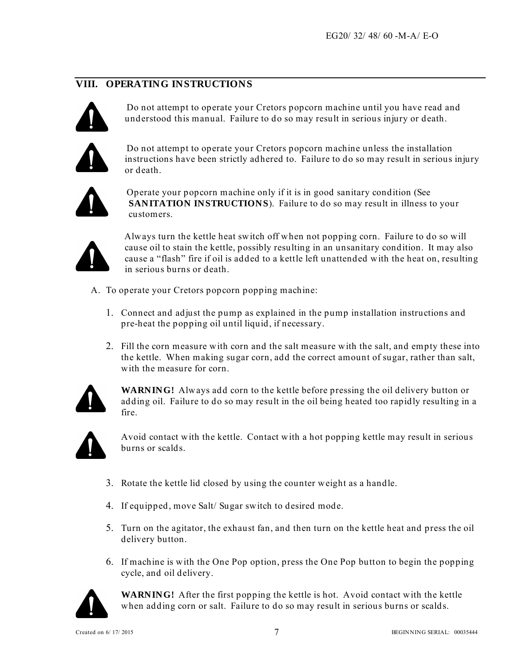#### **VIII. OPERATING INSTRUCTIONS**



Do not attempt to operate your Cretors popcorn machine until you have read and understood this manual. Failure to do so may result in serious injury or death.



Do not attempt to operate your Cretors popcorn machine unless the installation instructions have been strictly adhered to. Failure to do so may result in serious injury or death.



Operate your popcorn machine only if it is in good sanitary condition (See **SANITATION INSTRUCTIONS**). Failure to do so may result in illness to your customers.



Always turn the kettle heat switch off when not popping corn. Failure to do so will cause oil to stain the kettle, possibly resulting in an unsanitary condition. It may also cause a "flash" fire if oil is added to a kettle left unattended with the heat on, resulting in serious burns or death.

- A. To operate your Cretors popcorn popping machine:
	- 1. Connect and adjust the pump as explained in the pump installation instructions and pre-heat the popping oil until liquid, if necessary.
	- 2. Fill the corn measure with corn and the salt measure with the salt, and empty these into the kettle. When making sugar corn, add the correct amount of sugar, rather than salt, with the measure for corn.



**WARNING!** Always add corn to the kettle before pressing the oil delivery button or adding oil. Failure to do so may result in the oil being heated too rapidly resulting in a fire.



Avoid contact with the kettle. Contact with a hot popping kettle may result in serious burns or scalds.

- 3. Rotate the kettle lid closed by using the counter weight as a handle.
- 4. If equipped, move Salt/ Sugar switch to desired mode.
- 5. Turn on the agitator, the exhaust fan, and then turn on the kettle heat and press the oil delivery button.
- 6. If machine is with the One Pop option, press the One Pop button to begin the popping cycle, and oil delivery.



**WARNING!** After the first popping the kettle is hot. Avoid contact with the kettle when adding corn or salt. Failure to do so may result in serious burns or scalds.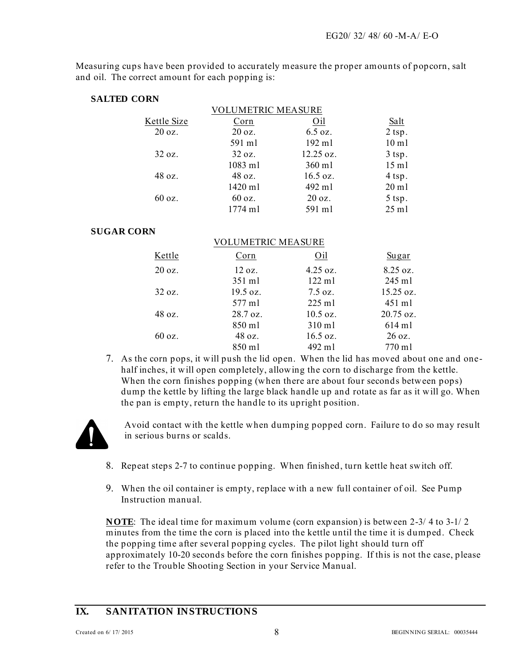Measuring cups have been provided to accurately measure the proper amounts of popcorn, salt and oil. The correct amount for each popping is:

#### **SALTED CORN**

|             | VOLUMETRIC MEASURE |           |                 |
|-------------|--------------------|-----------|-----------------|
| Kettle Size | Corn               | Oil       | Salt            |
| 20 oz.      | 20 oz.             | 6.5 oz.   | $2$ tsp.        |
|             | 591 ml             | 192 ml    | $10 \text{ m}$  |
| 32 oz.      | 32 oz.             | 12.25 oz. | $3$ tsp.        |
|             | $1083$ ml          | 360 ml    | $15$ m $l$      |
| 48 oz.      | 48 oz.             | 16.5 oz.  | 4 tsp.          |
|             | 1420 ml            | 492 ml    | $20 \text{ ml}$ |
| 60 oz.      | 60 oz.             | 20 oz.    | 5 tsp.          |
|             | 1774 ml            | 591 ml    | $25$ ml         |
|             |                    |           |                 |

VOLUMETRIC MEASURE

#### **SUGAR CORN**

|                   | VULUMEIRIU MEASURE |                    |                     |
|-------------------|--------------------|--------------------|---------------------|
| Kettle            | Corn               | Oil                | Sugar               |
| 20 oz.            | $12 \text{ oz}$ .  | $4.25 \text{ oz.}$ | 8.25 oz.            |
|                   | 351 ml             | $122 \text{ ml}$   | $245$ ml            |
| 32 oz.            | 19.5 oz.           | $7.5 \text{ oz}$ . | $15.25 \text{ oz.}$ |
|                   | 577 ml             | $225$ ml           | $451$ m             |
| $48 \text{ oz}$ . | $28.7 \text{ oz.}$ | $10.5$ oz.         | 20.75 oz.           |
|                   | 850 ml             | 310 ml             | $614$ ml            |
| 60 oz.            | 48 oz.             | $16.5 \text{ oz.}$ | $26 \text{ oz}$ .   |
|                   | 850 ml             | 492 ml             | 770 ml              |
|                   |                    |                    |                     |

7. As the corn pops, it will push the lid open. When the lid has moved about one and onehalf inches, it will open completely, allowing the corn to discharge from the kettle. When the corn finishes popping (when there are about four seconds between pops) dump the kettle by lifting the large black handle up and rotate as far as it will go. When the pan is empty, return the handle to its upright position.



Avoid contact with the kettle when dumping popped corn. Failure to do so may result in serious burns or scalds.

- 8. Repeat steps 2-7 to continue popping. When finished, turn kettle heat switch off.
- 9. When the oil container is empty, replace with a new full container of oil. See Pump Instruction manual.

**NOTE**: The ideal time for maximum volume (corn expansion) is between 2-3/ 4 to 3-1/ 2 minutes from the time the corn is placed into the kettle until the time it is dumped. Check the popping time after several popping cycles. The pilot light should turn off approximately 10-20 seconds before the corn finishes popping. If this is not the case, please refer to the Trouble Shooting Section in your Service Manual.

#### **IX. SANITATION INSTRUCTIONS**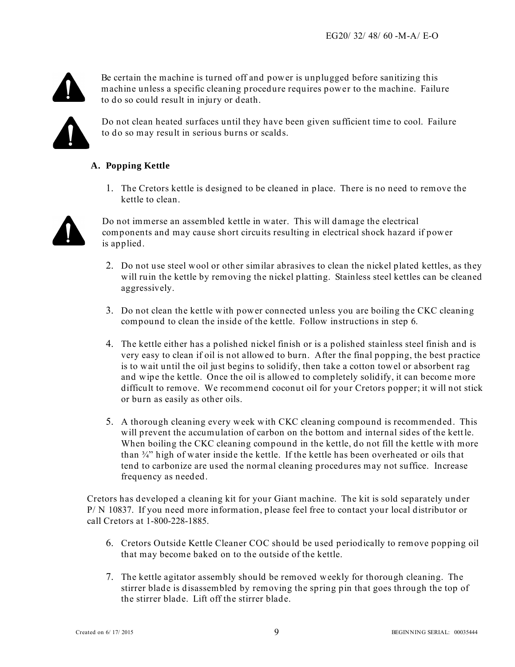

Be certain the machine is turned off and power is unplugged before sanitizing this machine unless a specific cleaning procedure requires power to the machine. Failure to do so could result in injury or death.



Do not clean heated surfaces until they have been given sufficient time to cool. Failure to do so may result in serious burns or scalds.

#### **A. Popping Kettle**

1. The Cretors kettle is designed to be cleaned in place. There is no need to remove the kettle to clean.



Do not immerse an assembled kettle in water. This will damage the electrical components and may cause short circuits resulting in electrical shock hazard if power is applied.

- 2. Do not use steel wool or other similar abrasives to clean the nickel plated kettles, as they will ruin the kettle by removing the nickel platting. Stainless steel kettles can be cleaned aggressively.
- 3. Do not clean the kettle with power connected unless you are boiling the CKC cleaning compound to clean the inside of the kettle. Follow instructions in step 6.
- 4. The kettle either has a polished nickel finish or is a polished stainless steel finish and is very easy to clean if oil is not allowed to burn. After the final popping, the best practice is to wait until the oil just begins to solidify, then take a cotton towel or absorbent rag and wipe the kettle. Once the oil is allowed to completely solidify, it can become more difficult to remove. We recommend coconut oil for your Cretors popper; it will not stick or burn as easily as other oils.
- 5. A thorough cleaning every week with CKC cleaning compound is recommended. This will prevent the accumulation of carbon on the bottom and internal sides of the kettle. When boiling the CKC cleaning compound in the kettle, do not fill the kettle with more than ¾" high of water inside the kettle. If the kettle has been overheated or oils that tend to carbonize are used the normal cleaning procedures may not suffice. Increase frequency as needed.

Cretors has developed a cleaning kit for your Giant machine. The kit is sold separately under P/ N 10837. If you need more information, please feel free to contact your local distributor or call Cretors at 1-800-228-1885.

- 6. Cretors Outside Kettle Cleaner COC should be used periodically to remove popping oil that may become baked on to the outside of the kettle.
- 7. The kettle agitator assembly should be removed weekly for thorough cleaning. The stirrer blade is disassembled by removing the spring pin that goes through the top of the stirrer blade. Lift off the stirrer blade.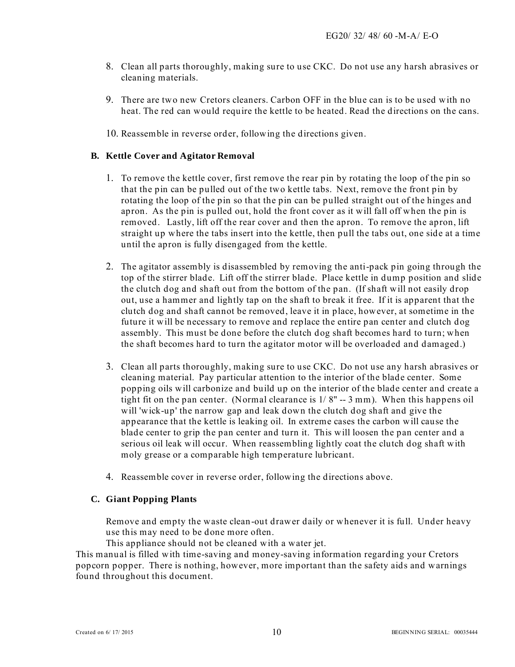- 8. Clean all parts thoroughly, making sure to use CKC. Do not use any harsh abrasives or cleaning materials.
- 9. There are two new Cretors cleaners. Carbon OFF in the blue can is to be used with no heat. The red can would require the kettle to be heated. Read the directions on the cans.
- 10. Reassemble in reverse order, following the directions given.

#### **B. Kettle Cover and Agitator Removal**

- 1. To remove the kettle cover, first remove the rear pin by rotating the loop of the pin so that the pin can be pulled out of the two kettle tabs. Next, remove the front pin by rotating the loop of the pin so that the pin can be pulled straight out of the hinges and apron. As the pin is pulled out, hold the front cover as it will fall off when the pin is removed. Lastly, lift off the rear cover and then the apron. To remove the apron, lift straight up where the tabs insert into the kettle, then pull the tabs out, one side at a time until the apron is fully disengaged from the kettle.
- 2. The agitator assembly is disassembled by removing the anti-pack pin going through the top of the stirrer blade. Lift off the stirrer blade. Place kettle in dump position and slide the clutch dog and shaft out from the bottom of the pan. (If shaft will not easily drop out, use a hammer and lightly tap on the shaft to break it free. If it is apparent that the clutch dog and shaft cannot be removed, leave it in place, however, at sometime in the future it will be necessary to remove and replace the entire pan center and clutch dog assembly. This must be done before the clutch dog shaft becomes hard to turn; when the shaft becomes hard to turn the agitator motor will be overloaded and damaged.)
- 3. Clean all parts thoroughly, making sure to use CKC. Do not use any harsh abrasives or cleaning material. Pay particular attention to the interior of the blade center. Some popping oils will carbonize and build up on the interior of the blade center and create a tight fit on the pan center. (Normal clearance is 1/ 8" -- 3 mm). When this happens oil will 'wick-up' the narrow gap and leak down the clutch dog shaft and give the appearance that the kettle is leaking oil. In extreme cases the carbon will cause the blade center to grip the pan center and turn it. This will loosen the pan center and a serious oil leak will occur. When reassembling lightly coat the clutch dog shaft with moly grease or a comparable high temperature lubricant.
- 4. Reassemble cover in reverse order, following the directions above.

#### **C. Giant Popping Plants**

Remove and empty the waste clean-out drawer daily or whenever it is full. Under heavy use this may need to be done more often.

This appliance should not be cleaned with a water jet.

This manual is filled with time-saving and money-saving information regarding your Cretors popcorn popper. There is nothing, however, more important than the safety aids and warnings found throughout this document.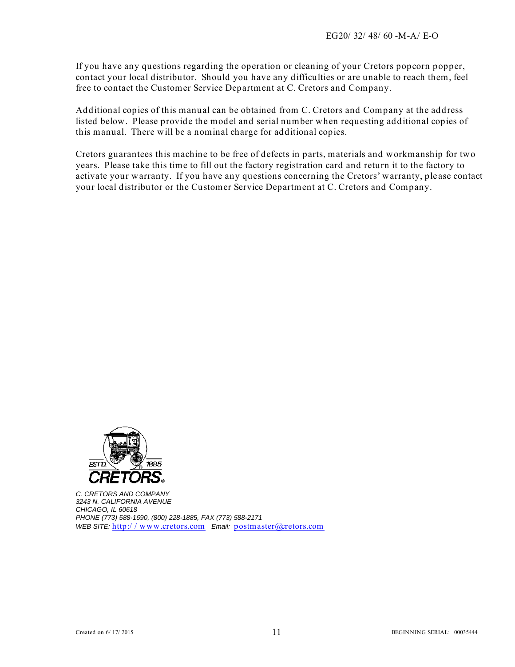If you have any questions regarding the operation or cleaning of your Cretors popcorn popper, contact your local distributor. Should you have any difficulties or are unable to reach them, feel free to contact the Customer Service Department at C. Cretors and Company.

Additional copies of this manual can be obtained from C. Cretors and Company at the address listed below. Please provide the model and serial number when requesting additional copies of this manual. There will be a nominal charge for additional copies.

Cretors guarantees this machine to be free of defects in parts, materials and workmanship for two years. Please take this time to fill out the factory registration card and return it to the factory to activate your warranty. If you have any questions concerning the Cretors' warranty, please contact your local distributor or the Customer Service Department at C. Cretors and Company.



*C. CRETORS AND COMPANY 3243 N. CALIFORNIA AVENUE CHICAGO, IL 60618 PHONE (773) 588-1690, (800) 228-1885, FAX (773) 588-2171 WEB SITE:* http:/ / www.cretors.com *Email:* postmaster@cretors.com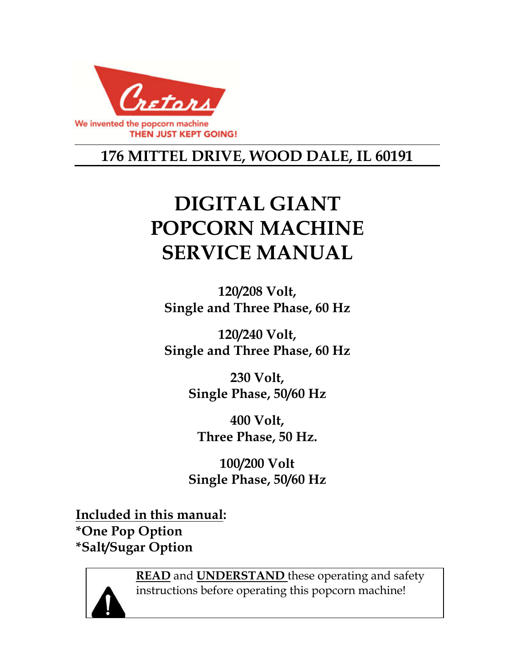

# **176 MITTEL DRIVE, WOOD DALE, IL 60191**

# **DIGITAL GIANT POPCORN MACHINE SERVICE MANUAL**

**120/208 Volt, Single and Three Phase, 60 Hz** 

**120/240 Volt, Single and Three Phase, 60 Hz** 

> **230 Volt, Single Phase, 50/60 Hz**

**400 Volt, Three Phase, 50 Hz.** 

**100/200 Volt Single Phase, 50/60 Hz** 

**Included in this manual: \*One Pop Option \*Salt/Sugar Option** 



**READ** and **UNDERSTAND** these operating and safety instructions before operating this popcorn machine!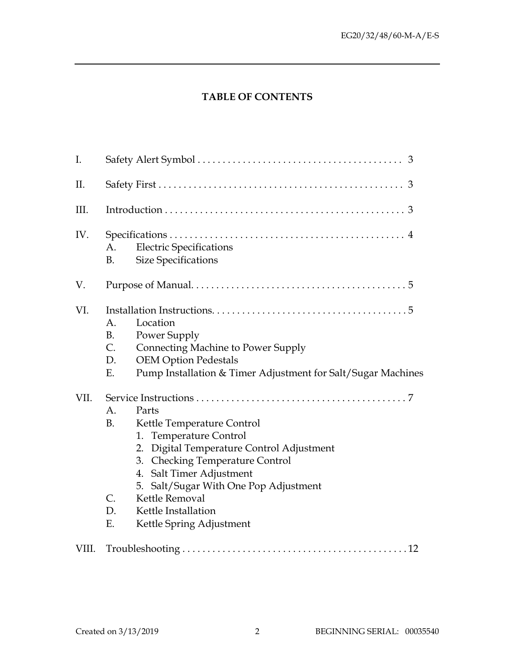# **TABLE OF CONTENTS**

| I.    |                                                                                                                                                                                                                                                                                                                                                           |  |  |
|-------|-----------------------------------------------------------------------------------------------------------------------------------------------------------------------------------------------------------------------------------------------------------------------------------------------------------------------------------------------------------|--|--|
| II.   |                                                                                                                                                                                                                                                                                                                                                           |  |  |
| III.  |                                                                                                                                                                                                                                                                                                                                                           |  |  |
| IV.   | <b>Electric Specifications</b><br>A.<br><b>Size Specifications</b><br>B.                                                                                                                                                                                                                                                                                  |  |  |
| V.    |                                                                                                                                                                                                                                                                                                                                                           |  |  |
| VI.   | Location<br>A.<br><b>B.</b><br>Power Supply<br>C.<br>Connecting Machine to Power Supply<br>D.<br><b>OEM Option Pedestals</b><br>Pump Installation & Timer Adjustment for Salt/Sugar Machines<br>Ε.                                                                                                                                                        |  |  |
| VII.  | A.<br>Parts<br><b>B.</b><br>Kettle Temperature Control<br>1. Temperature Control<br>Digital Temperature Control Adjustment<br>2.<br><b>Checking Temperature Control</b><br>3.<br>Salt Timer Adjustment<br>4.<br>5. Salt/Sugar With One Pop Adjustment<br>$\mathcal{C}$ .<br>Kettle Removal<br>D.<br>Kettle Installation<br>Ε.<br>Kettle Spring Adjustment |  |  |
| VIII. |                                                                                                                                                                                                                                                                                                                                                           |  |  |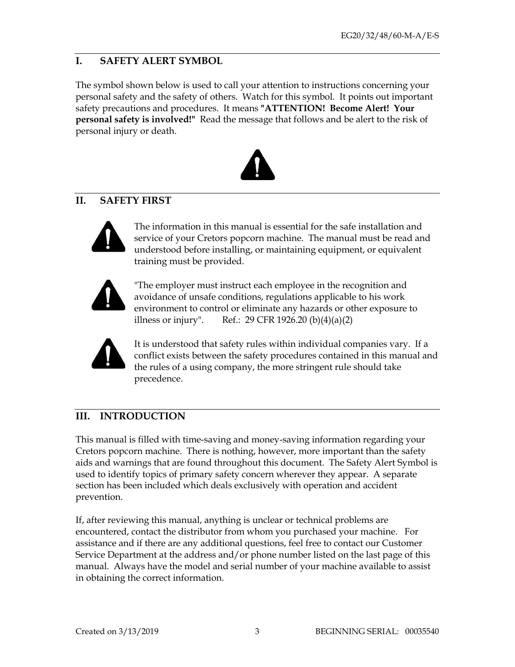#### **I. SAFETY ALERT SYMBOL**

The symbol shown below is used to call your attention to instructions concerning your personal safety and the safety of others. Watch for this symbol. It points out important safety precautions and procedures. It means **"ATTENTION! Become Alert! Your personal safety is involved!"** Read the message that follows and be alert to the risk of personal injury or death.



# **II. SAFETY FIRST**



The information in this manual is essential for the safe installation and service of your Cretors popcorn machine. The manual must be read and understood before installing, or maintaining equipment, or equivalent training must be provided.



"The employer must instruct each employee in the recognition and avoidance of unsafe conditions, regulations applicable to his work environment to control or eliminate any hazards or other exposure to illness or injury". Ref.: 29 CFR 1926.20 (b) $(4)(a)(2)$ 



It is understood that safety rules within individual companies vary. If a conflict exists between the safety procedures contained in this manual and the rules of a using company, the more stringent rule should take precedence.

# **III. INTRODUCTION**

This manual is filled with time-saving and money-saving information regarding your Cretors popcorn machine. There is nothing, however, more important than the safety aids and warnings that are found throughout this document. The Safety Alert Symbol is used to identify topics of primary safety concern wherever they appear. A separate section has been included which deals exclusively with operation and accident prevention.

If, after reviewing this manual, anything is unclear or technical problems are encountered, contact the distributor from whom you purchased your machine. For assistance and if there are any additional questions, feel free to contact our Customer Service Department at the address and/or phone number listed on the last page of this manual. Always have the model and serial number of your machine available to assist in obtaining the correct information.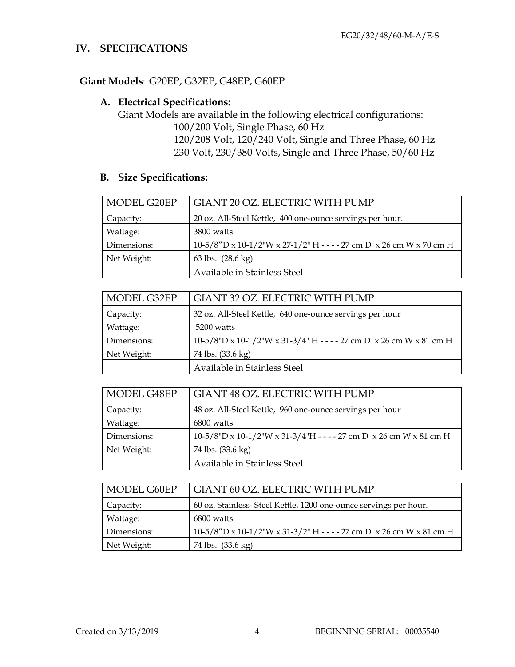# **IV. SPECIFICATIONS**

#### **Giant Models**: G20EP, G32EP, G48EP, G60EP

#### **A. Electrical Specifications:**

Giant Models are available in the following electrical configurations:

100/200 Volt, Single Phase, 60 Hz 120/208 Volt, 120/240 Volt, Single and Three Phase, 60 Hz 230 Volt, 230/380 Volts, Single and Three Phase, 50/60 Hz

# **B. Size Specifications:**

| MODEL G20EP | GIANT 20 OZ. ELECTRIC WITH PUMP                                                |
|-------------|--------------------------------------------------------------------------------|
| Capacity:   | 20 oz. All-Steel Kettle, 400 one-ounce servings per hour.                      |
| Wattage:    | 3800 watts                                                                     |
| Dimensions: | $10-5/8''$ D x $10-1/2''$ W x $27-1/2''$ H - - - - 27 cm D x 26 cm W x 70 cm H |
| Net Weight: | 63 lbs. (28.6 kg)                                                              |
|             | Available in Stainless Steel                                                   |

| MODEL G32EP | GIANT 32 OZ. ELECTRIC WITH PUMP                                        |  |  |
|-------------|------------------------------------------------------------------------|--|--|
| Capacity:   | 32 oz. All-Steel Kettle, 640 one-ounce servings per hour               |  |  |
| Wattage:    | 5200 watts                                                             |  |  |
| Dimensions: | $10-5/8$ "D x 10-1/2"W x 31-3/4" H - - - - 27 cm D x 26 cm W x 81 cm H |  |  |
| Net Weight: | 74 lbs. (33.6 kg)                                                      |  |  |
|             | Available in Stainless Steel                                           |  |  |

| MODEL G48EP | GIANT 48 OZ. ELECTRIC WITH PUMP                                             |
|-------------|-----------------------------------------------------------------------------|
| Capacity:   | 48 oz. All-Steel Kettle, 960 one-ounce servings per hour                    |
| Wattage:    | 6800 watts                                                                  |
| Dimensions: | $10-5/8$ "D x $10-1/2$ "W x $31-3/4$ "H - - - - 27 cm D x 26 cm W x 81 cm H |
| Net Weight: | 74 lbs. (33.6 kg)                                                           |
|             | Available in Stainless Steel                                                |

| MODEL G60EP | GIANT 60 OZ. ELECTRIC WITH PUMP                                                |
|-------------|--------------------------------------------------------------------------------|
| Capacity:   | 60 oz. Stainless- Steel Kettle, 1200 one-ounce servings per hour.              |
| Wattage:    | 6800 watts                                                                     |
| Dimensions: | $10-5/8''$ D x $10-1/2''$ W x $31-3/2''$ H - - - - 27 cm D x 26 cm W x 81 cm H |
| Net Weight: | 74 lbs. (33.6 kg)                                                              |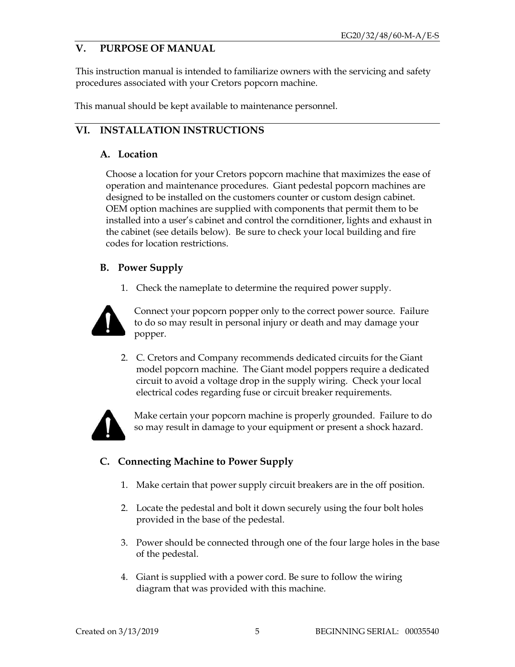# **V. PURPOSE OF MANUAL**

This instruction manual is intended to familiarize owners with the servicing and safety procedures associated with your Cretors popcorn machine.

This manual should be kept available to maintenance personnel.

# **VI. INSTALLATION INSTRUCTIONS**

#### **A. Location**

Choose a location for your Cretors popcorn machine that maximizes the ease of operation and maintenance procedures. Giant pedestal popcorn machines are designed to be installed on the customers counter or custom design cabinet. OEM option machines are supplied with components that permit them to be installed into a user's cabinet and control the cornditioner, lights and exhaust in the cabinet (see details below). Be sure to check your local building and fire codes for location restrictions.

#### **B. Power Supply**

1. Check the nameplate to determine the required power supply.



Connect your popcorn popper only to the correct power source. Failure to do so may result in personal injury or death and may damage your popper.

2. C. Cretors and Company recommends dedicated circuits for the Giant model popcorn machine. The Giant model poppers require a dedicated circuit to avoid a voltage drop in the supply wiring. Check your local electrical codes regarding fuse or circuit breaker requirements.



Make certain your popcorn machine is properly grounded. Failure to do so may result in damage to your equipment or present a shock hazard.

# **C. Connecting Machine to Power Supply**

- 1. Make certain that power supply circuit breakers are in the off position.
- 2. Locate the pedestal and bolt it down securely using the four bolt holes provided in the base of the pedestal.
- 3. Power should be connected through one of the four large holes in the base of the pedestal.
- 4. Giant is supplied with a power cord. Be sure to follow the wiring diagram that was provided with this machine.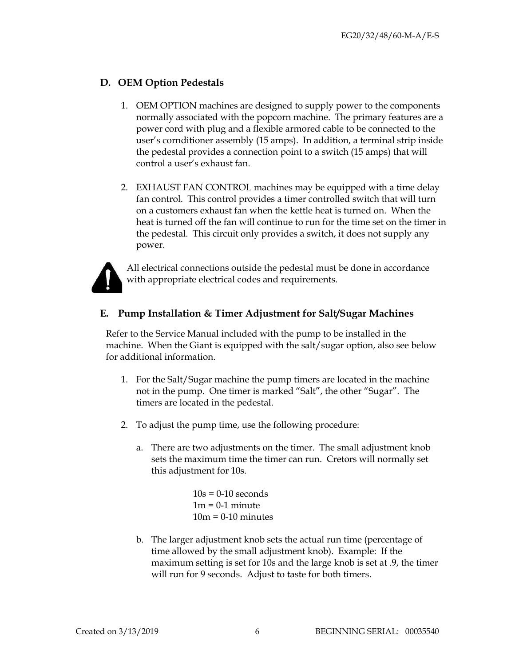#### **D. OEM Option Pedestals**

- 1. OEM OPTION machines are designed to supply power to the components normally associated with the popcorn machine. The primary features are a power cord with plug and a flexible armored cable to be connected to the user's cornditioner assembly (15 amps). In addition, a terminal strip inside the pedestal provides a connection point to a switch (15 amps) that will control a user's exhaust fan.
- 2. EXHAUST FAN CONTROL machines may be equipped with a time delay fan control. This control provides a timer controlled switch that will turn on a customers exhaust fan when the kettle heat is turned on. When the heat is turned off the fan will continue to run for the time set on the timer in the pedestal. This circuit only provides a switch, it does not supply any power.



All electrical connections outside the pedestal must be done in accordance with appropriate electrical codes and requirements.

#### **E. Pump Installation & Timer Adjustment for Salt/Sugar Machines**

Refer to the Service Manual included with the pump to be installed in the machine. When the Giant is equipped with the salt/sugar option, also see below for additional information.

- 1. For the Salt/Sugar machine the pump timers are located in the machine not in the pump. One timer is marked "Salt", the other "Sugar". The timers are located in the pedestal.
- 2. To adjust the pump time, use the following procedure:
	- a. There are two adjustments on the timer. The small adjustment knob sets the maximum time the timer can run. Cretors will normally set this adjustment for 10s.

 $10s = 0-10$  seconds  $1m = 0-1$  minute  $10m = 0-10$  minutes

b. The larger adjustment knob sets the actual run time (percentage of time allowed by the small adjustment knob). Example: If the maximum setting is set for 10s and the large knob is set at .9, the timer will run for 9 seconds. Adjust to taste for both timers.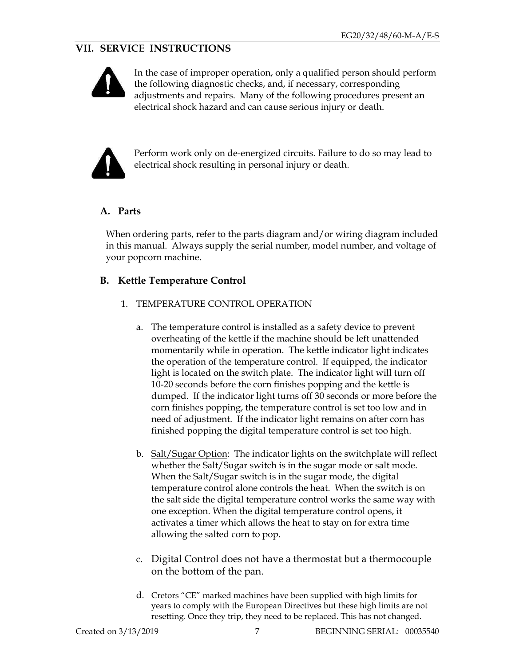# **VII. SERVICE INSTRUCTIONS**



In the case of improper operation, only a qualified person should perform the following diagnostic checks, and, if necessary, corresponding adjustments and repairs. Many of the following procedures present an electrical shock hazard and can cause serious injury or death.



Perform work only on de-energized circuits. Failure to do so may lead to electrical shock resulting in personal injury or death.

# **A. Parts**

When ordering parts, refer to the parts diagram and/or wiring diagram included in this manual. Always supply the serial number, model number, and voltage of your popcorn machine.

#### **B. Kettle Temperature Control**

- 1. TEMPERATURE CONTROL OPERATION
	- a. The temperature control is installed as a safety device to prevent overheating of the kettle if the machine should be left unattended momentarily while in operation. The kettle indicator light indicates the operation of the temperature control. If equipped, the indicator light is located on the switch plate. The indicator light will turn off 10-20 seconds before the corn finishes popping and the kettle is dumped. If the indicator light turns off 30 seconds or more before the corn finishes popping, the temperature control is set too low and in need of adjustment. If the indicator light remains on after corn has finished popping the digital temperature control is set too high.
	- b. Salt/Sugar Option: The indicator lights on the switchplate will reflect whether the Salt/Sugar switch is in the sugar mode or salt mode. When the Salt/Sugar switch is in the sugar mode, the digital temperature control alone controls the heat. When the switch is on the salt side the digital temperature control works the same way with one exception. When the digital temperature control opens, it activates a timer which allows the heat to stay on for extra time allowing the salted corn to pop.
	- c. Digital Control does not have a thermostat but a thermocouple on the bottom of the pan.
	- d. Cretors "CE" marked machines have been supplied with high limits for years to comply with the European Directives but these high limits are not resetting. Once they trip, they need to be replaced. This has not changed.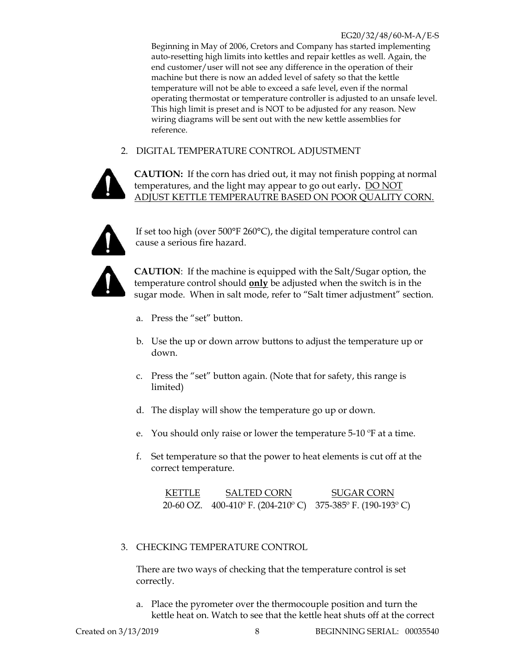Beginning in May of 2006, Cretors and Company has started implementing auto-resetting high limits into kettles and repair kettles as well. Again, the end customer/user will not see any difference in the operation of their machine but there is now an added level of safety so that the kettle temperature will not be able to exceed a safe level, even if the normal operating thermostat or temperature controller is adjusted to an unsafe level. This high limit is preset and is NOT to be adjusted for any reason. New wiring diagrams will be sent out with the new kettle assemblies for reference.

#### 2. DIGITAL TEMPERATURE CONTROL ADJUSTMENT



**CAUTION:** If the corn has dried out, it may not finish popping at normal temperatures, and the light may appear to go out early**.** DO NOT ADJUST KETTLE TEMPERAUTRE BASED ON POOR QUALITY CORN.



If set too high (over 500°F 260°C), the digital temperature control can cause a serious fire hazard.



**CAUTION**: If the machine is equipped with the Salt/Sugar option, the temperature control should **only** be adjusted when the switch is in the sugar mode. When in salt mode, refer to "Salt timer adjustment" section.

- a. Press the "set" button.
- b. Use the up or down arrow buttons to adjust the temperature up or down.
- c. Press the "set" button again. (Note that for safety, this range is limited)
- d. The display will show the temperature go up or down.
- e. You should only raise or lower the temperature 5-10 ºF at a time.
- f. Set temperature so that the power to heat elements is cut off at the correct temperature.

| <b>KETTLE</b> | <b>SALTED CORN</b>                                          | SUGAR CORN |
|---------------|-------------------------------------------------------------|------------|
|               | 20-60 OZ. 400-410° F. (204-210° C) 375-385° F. (190-193° C) |            |

#### 3. CHECKING TEMPERATURE CONTROL

There are two ways of checking that the temperature control is set correctly.

a. Place the pyrometer over the thermocouple position and turn the kettle heat on. Watch to see that the kettle heat shuts off at the correct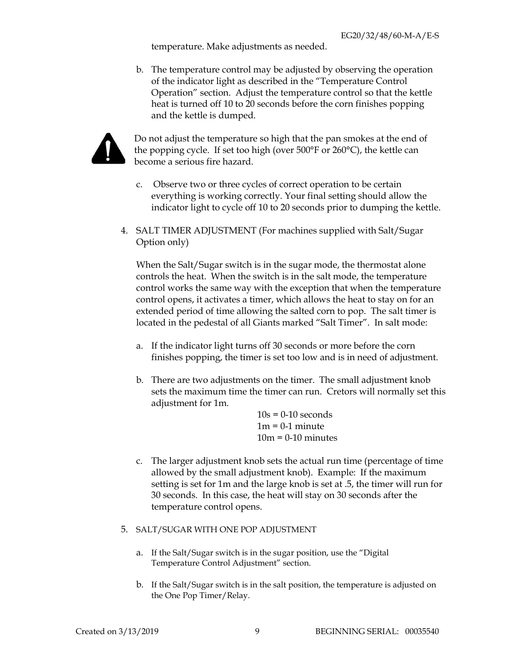temperature. Make adjustments as needed.

b. The temperature control may be adjusted by observing the operation of the indicator light as described in the "Temperature Control Operation" section. Adjust the temperature control so that the kettle heat is turned off 10 to 20 seconds before the corn finishes popping and the kettle is dumped.



Do not adjust the temperature so high that the pan smokes at the end of the popping cycle. If set too high (over 500°F or 260°C), the kettle can become a serious fire hazard.

- c. Observe two or three cycles of correct operation to be certain everything is working correctly. Your final setting should allow the indicator light to cycle off 10 to 20 seconds prior to dumping the kettle.
- 4. SALT TIMER ADJUSTMENT (For machines supplied with Salt/Sugar Option only)

When the Salt/Sugar switch is in the sugar mode, the thermostat alone controls the heat. When the switch is in the salt mode, the temperature control works the same way with the exception that when the temperature control opens, it activates a timer, which allows the heat to stay on for an extended period of time allowing the salted corn to pop. The salt timer is located in the pedestal of all Giants marked "Salt Timer". In salt mode:

- a. If the indicator light turns off 30 seconds or more before the corn finishes popping, the timer is set too low and is in need of adjustment.
- b. There are two adjustments on the timer. The small adjustment knob sets the maximum time the timer can run. Cretors will normally set this adjustment for 1m.

 $10s = 0-10$  seconds  $1m = 0-1$  minute  $10m = 0-10$  minutes

c. The larger adjustment knob sets the actual run time (percentage of time allowed by the small adjustment knob). Example: If the maximum setting is set for 1m and the large knob is set at .5, the timer will run for 30 seconds. In this case, the heat will stay on 30 seconds after the temperature control opens.

#### 5. SALT/SUGAR WITH ONE POP ADJUSTMENT

- a. If the Salt/Sugar switch is in the sugar position, use the "Digital Temperature Control Adjustment" section.
- b. If the Salt/Sugar switch is in the salt position, the temperature is adjusted on the One Pop Timer/Relay.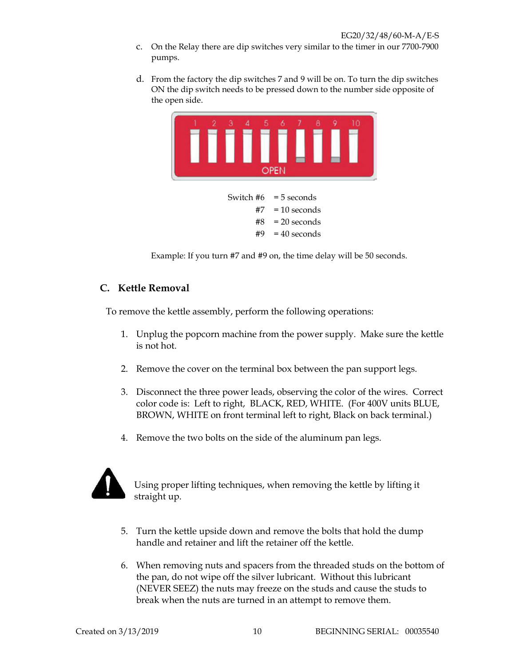- c. On the Relay there are dip switches very similar to the timer in our 7700-7900 pumps.
- d. From the factory the dip switches 7 and 9 will be on. To turn the dip switches ON the dip switch needs to be pressed down to the number side opposite of the open side.



Switch  $#6 = 5$  seconds  $#7 = 10$  seconds  $#8 = 20$  seconds  $#9 = 40$  seconds

Example: If you turn #7 and #9 on, the time delay will be 50 seconds.

#### **C. Kettle Removal**

To remove the kettle assembly, perform the following operations:

- 1. Unplug the popcorn machine from the power supply. Make sure the kettle is not hot.
- 2. Remove the cover on the terminal box between the pan support legs.
- 3. Disconnect the three power leads, observing the color of the wires. Correct color code is: Left to right, BLACK, RED, WHITE. (For 400V units BLUE, BROWN, WHITE on front terminal left to right, Black on back terminal.)
- 4. Remove the two bolts on the side of the aluminum pan legs.



Using proper lifting techniques, when removing the kettle by lifting it straight up.

- 5. Turn the kettle upside down and remove the bolts that hold the dump handle and retainer and lift the retainer off the kettle.
- 6. When removing nuts and spacers from the threaded studs on the bottom of the pan, do not wipe off the silver lubricant. Without this lubricant (NEVER SEEZ) the nuts may freeze on the studs and cause the studs to break when the nuts are turned in an attempt to remove them.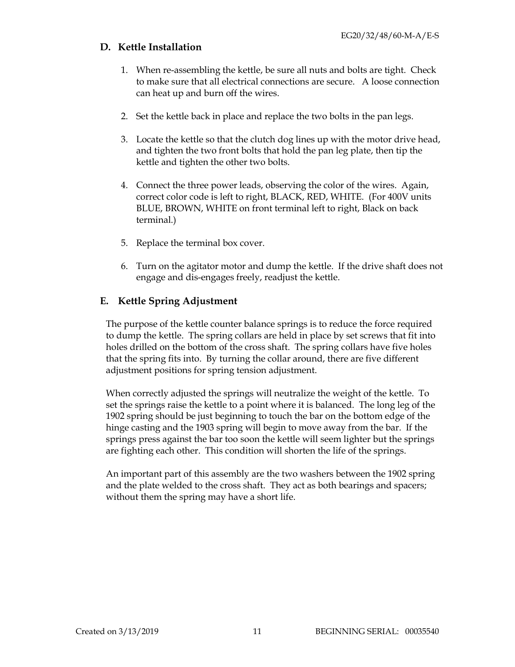#### **D. Kettle Installation**

- 1. When re-assembling the kettle, be sure all nuts and bolts are tight. Check to make sure that all electrical connections are secure. A loose connection can heat up and burn off the wires.
- 2. Set the kettle back in place and replace the two bolts in the pan legs.
- 3. Locate the kettle so that the clutch dog lines up with the motor drive head, and tighten the two front bolts that hold the pan leg plate, then tip the kettle and tighten the other two bolts.
- 4. Connect the three power leads, observing the color of the wires. Again, correct color code is left to right, BLACK, RED, WHITE. (For 400V units BLUE, BROWN, WHITE on front terminal left to right, Black on back terminal.)
- 5. Replace the terminal box cover.
- 6. Turn on the agitator motor and dump the kettle. If the drive shaft does not engage and dis-engages freely, readjust the kettle.

#### **E. Kettle Spring Adjustment**

The purpose of the kettle counter balance springs is to reduce the force required to dump the kettle. The spring collars are held in place by set screws that fit into holes drilled on the bottom of the cross shaft. The spring collars have five holes that the spring fits into. By turning the collar around, there are five different adjustment positions for spring tension adjustment.

When correctly adjusted the springs will neutralize the weight of the kettle. To set the springs raise the kettle to a point where it is balanced. The long leg of the 1902 spring should be just beginning to touch the bar on the bottom edge of the hinge casting and the 1903 spring will begin to move away from the bar. If the springs press against the bar too soon the kettle will seem lighter but the springs are fighting each other. This condition will shorten the life of the springs.

An important part of this assembly are the two washers between the 1902 spring and the plate welded to the cross shaft. They act as both bearings and spacers; without them the spring may have a short life.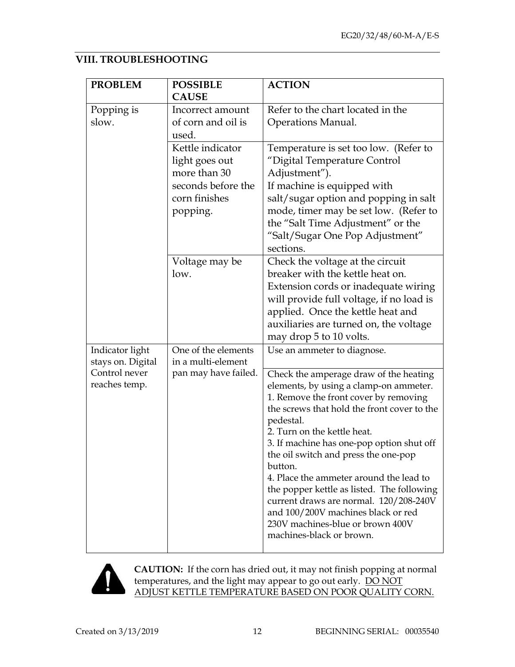#### **VIII. TROUBLESHOOTING**

| <b>PROBLEM</b>    | <b>POSSIBLE</b>      | <b>ACTION</b>                                            |
|-------------------|----------------------|----------------------------------------------------------|
|                   | <b>CAUSE</b>         |                                                          |
| Popping is        | Incorrect amount     | Refer to the chart located in the                        |
| slow.             | of corn and oil is   | Operations Manual.                                       |
|                   | used.                |                                                          |
|                   | Kettle indicator     | Temperature is set too low. (Refer to                    |
|                   | light goes out       | "Digital Temperature Control                             |
|                   | more than 30         | Adjustment").                                            |
|                   | seconds before the   | If machine is equipped with                              |
|                   | corn finishes        | salt/sugar option and popping in salt                    |
|                   | popping.             | mode, timer may be set low. (Refer to                    |
|                   |                      | the "Salt Time Adjustment" or the                        |
|                   |                      | "Salt/Sugar One Pop Adjustment"                          |
|                   |                      | sections.                                                |
|                   | Voltage may be       | Check the voltage at the circuit                         |
|                   | low.                 | breaker with the kettle heat on.                         |
|                   |                      | Extension cords or inadequate wiring                     |
|                   |                      | will provide full voltage, if no load is                 |
|                   |                      | applied. Once the kettle heat and                        |
|                   |                      | auxiliaries are turned on, the voltage                   |
|                   |                      | may drop 5 to 10 volts.                                  |
| Indicator light   | One of the elements  | Use an ammeter to diagnose.                              |
| stays on. Digital | in a multi-element   |                                                          |
| Control never     | pan may have failed. | Check the amperage draw of the heating                   |
| reaches temp.     |                      | elements, by using a clamp-on ammeter.                   |
|                   |                      | 1. Remove the front cover by removing                    |
|                   |                      | the screws that hold the front cover to the<br>pedestal. |
|                   |                      | 2. Turn on the kettle heat.                              |
|                   |                      | 3. If machine has one-pop option shut off                |
|                   |                      | the oil switch and press the one-pop                     |
|                   |                      | button.                                                  |
|                   |                      | 4. Place the ammeter around the lead to                  |
|                   |                      | the popper kettle as listed. The following               |
|                   |                      | current draws are normal. 120/208-240V                   |
|                   |                      | and 100/200V machines black or red                       |
|                   |                      | 230V machines-blue or brown 400V                         |
|                   |                      | machines-black or brown.                                 |



**CAUTION:** If the corn has dried out, it may not finish popping at normal temperatures, and the light may appear to go out early. DO NOT ADJUST KETTLE TEMPERATURE BASED ON POOR QUALITY CORN.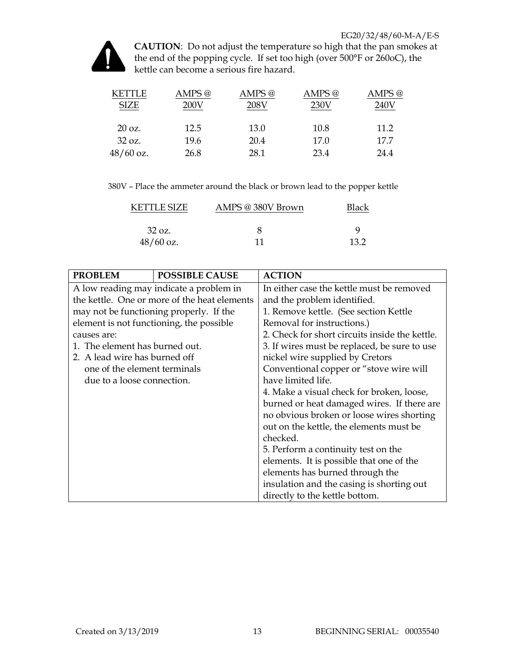

**CAUTION**: Do not adjust the temperature so high that the pan smokes at the end of the popping cycle. If set too high (over 500°F or 260oC), the kettle can become a serious fire hazard.

| <b>KETTLE</b><br><b>SIZE</b> | AMPS @<br>200V | AMPS @<br>208V | AMPS <sup>@</sup><br>230V | AMPS @<br>240V |
|------------------------------|----------------|----------------|---------------------------|----------------|
| $20 \text{ oz.}$             | 12.5           | 13.0           | 10.8                      | 11.2           |
| 32 oz.                       | 19.6           | 20.4           | 17.0                      | 17.7           |
| $48/60$ oz.                  | 26.8           | 28.1           | 23.4                      | 24.4           |

380V – Place the ammeter around the black or brown lead to the popper kettle

| KETTLE SIZE | AMPS @ 380V Brown | Black |
|-------------|-------------------|-------|
| 32 oz.      |                   | Q     |
| $48/60$ oz. | 11                | 13.2  |

| <b>PROBLEM</b>                 | <b>POSSIBLE CAUSE</b>                        | <b>ACTION</b>                                  |  |
|--------------------------------|----------------------------------------------|------------------------------------------------|--|
|                                | A low reading may indicate a problem in      | In either case the kettle must be removed      |  |
|                                | the kettle. One or more of the heat elements | and the problem identified.                    |  |
|                                | may not be functioning properly. If the      | 1. Remove kettle. (See section Kettle          |  |
|                                | element is not functioning, the possible     | Removal for instructions.)                     |  |
| causes are:                    |                                              | 2. Check for short circuits inside the kettle. |  |
| 1. The element has burned out. |                                              | 3. If wires must be replaced, be sure to use   |  |
| 2. A lead wire has burned off  |                                              | nickel wire supplied by Cretors                |  |
| one of the element terminals   |                                              | Conventional copper or "stove wire will        |  |
| due to a loose connection.     |                                              | have limited life.                             |  |
|                                |                                              | 4. Make a visual check for broken, loose,      |  |
|                                |                                              | burned or heat damaged wires. If there are     |  |
|                                |                                              | no obvious broken or loose wires shorting      |  |
|                                |                                              | out on the kettle, the elements must be        |  |
|                                |                                              | checked.                                       |  |
|                                |                                              | 5. Perform a continuity test on the            |  |
|                                |                                              | elements. It is possible that one of the       |  |
|                                |                                              | elements has burned through the                |  |
|                                |                                              | insulation and the casing is shorting out      |  |
|                                |                                              | directly to the kettle bottom.                 |  |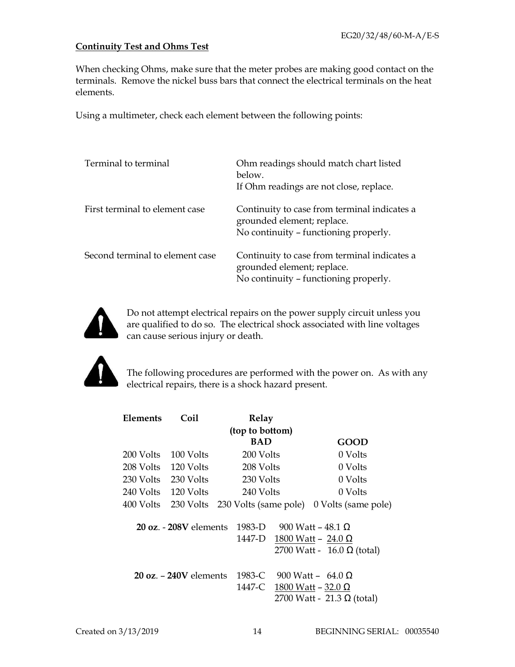#### **Continuity Test and Ohms Test**

When checking Ohms, make sure that the meter probes are making good contact on the terminals. Remove the nickel buss bars that connect the electrical terminals on the heat elements.

Using a multimeter, check each element between the following points:

| Terminal to terminal            | Ohm readings should match chart listed<br>below.<br>If Ohm readings are not close, replace.                         |
|---------------------------------|---------------------------------------------------------------------------------------------------------------------|
| First terminal to element case  | Continuity to case from terminal indicates a<br>grounded element; replace.<br>No continuity - functioning properly. |
| Second terminal to element case | Continuity to case from terminal indicates a<br>grounded element; replace.<br>No continuity - functioning properly. |



Do not attempt electrical repairs on the power supply circuit unless you are qualified to do so. The electrical shock associated with line voltages can cause serious injury or death.



The following procedures are performed with the power on. As with any electrical repairs, there is a shock hazard present.

| Elements  | Coil                                     |                 | Relay      |                            |
|-----------|------------------------------------------|-----------------|------------|----------------------------|
|           |                                          | (top to bottom) |            |                            |
|           |                                          |                 | <b>BAD</b> | GOOD                       |
| 200 Volts | 100 Volts                                |                 | 200 Volts  | 0 Volts                    |
| 208 Volts | 120 Volts                                |                 | 208 Volts  | 0 Volts                    |
| 230 Volts | 230 Volts                                |                 | -230 Volts | 0 Volts                    |
| 240 Volts | 120 Volts                                |                 | 240 Volts  | 0 Volts                    |
| 400 Volts | 230 Volts 230 Volts (same pole)          |                 |            | 0 Volts (same pole)        |
|           | $20 \text{ oz}$ - $208V$ elements        | 1983-D          |            | 900 Watt – $48.1 \Omega$   |
|           |                                          |                 | 1447-D     |                            |
|           |                                          |                 |            | 1800 Watt – 24.0 Ω         |
|           |                                          |                 |            | 2700 Watt - 16.0 Ω (total) |
|           | $20 \text{ oz.} - 240 \text{V}$ elements |                 | 1983-C     | 900 Watt - 64.0 $\Omega$   |
|           |                                          |                 | 1447-C     | 1800 Watt – 32.0 Ω         |
|           |                                          |                 |            | 2700 Watt - 21.3 Ω (total) |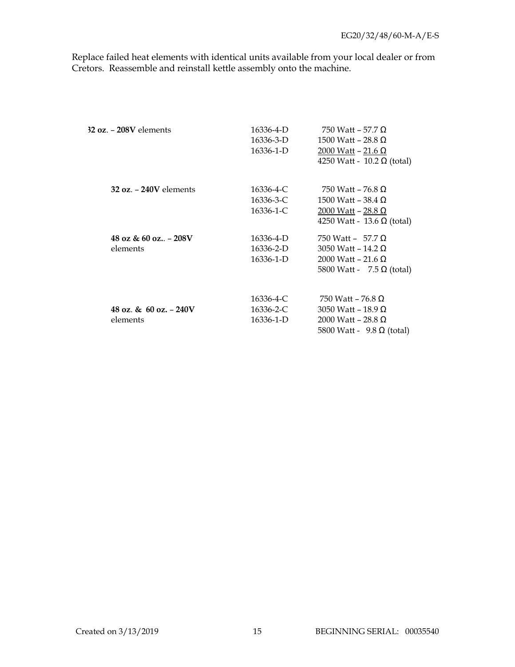Replace failed heat elements with identical units available from your local dealer or from Cretors. Reassemble and reinstall kettle assembly onto the machine.

| $32$ oz. $-208V$ elements           | 16336-4-D<br>16336-3-D<br>16336-1-D | 750 Watt – 57.7 $\Omega$<br>1500 Watt – 28.8 $\Omega$<br>2000 Watt – 21.6 Ω<br>4250 Watt - 10.2 Ω (total) |
|-------------------------------------|-------------------------------------|-----------------------------------------------------------------------------------------------------------|
| $32$ oz. $-$ 240V elements          | 16336-4-C<br>16336-3-C<br>16336-1-C | 750 Watt – 76.8 Ω<br>1500 Watt – 38.4 Ω<br>2000 Watt – 28.8 Ω<br>4250 Watt - 13.6 Ω (total)               |
| 48 oz & 60 oz $-208V$<br>elements   | 16336-4-D<br>16336-2-D<br>16336-1-D | 750 Watt - 57.7 Ω<br>3050 Watt – 14.2 $\Omega$<br>2000 Watt – 21.6 Ω<br>5800 Watt - 7.5 Ω (total)         |
| 48 oz. & 60 oz. $-240V$<br>elements | 16336-4-C<br>16336-2-C<br>16336-1-D | 750 Watt – 76.8 Ω<br>3050 Watt – 18.9 Ω<br>2000 Watt – 28.8 Ω<br>5800 Watt - 9.8 Ω (total)                |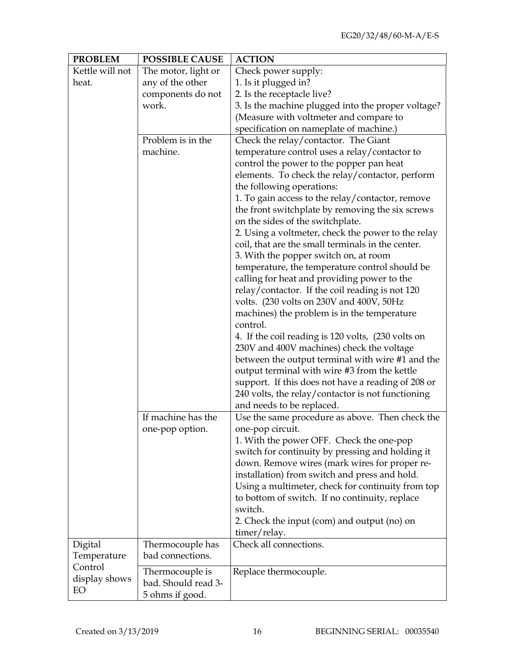| <b>PROBLEM</b>  | <b>POSSIBLE CAUSE</b>                  | <b>ACTION</b>                                      |
|-----------------|----------------------------------------|----------------------------------------------------|
| Kettle will not | The motor, light or                    | Check power supply:                                |
| heat.           | any of the other                       | 1. Is it plugged in?                               |
|                 | components do not                      | 2. Is the receptacle live?                         |
|                 | work.                                  | 3. Is the machine plugged into the proper voltage? |
|                 |                                        | (Measure with voltmeter and compare to             |
|                 |                                        | specification on nameplate of machine.)            |
|                 | Problem is in the                      | Check the relay/contactor. The Giant               |
|                 | machine.                               | temperature control uses a relay/contactor to      |
|                 |                                        | control the power to the popper pan heat           |
|                 |                                        | elements. To check the relay/contactor, perform    |
|                 |                                        | the following operations:                          |
|                 |                                        | 1. To gain access to the relay/contactor, remove   |
|                 |                                        | the front switchplate by removing the six screws   |
|                 |                                        | on the sides of the switchplate.                   |
|                 |                                        | 2. Using a voltmeter, check the power to the relay |
|                 |                                        | coil, that are the small terminals in the center.  |
|                 |                                        | 3. With the popper switch on, at room              |
|                 |                                        | temperature, the temperature control should be     |
|                 |                                        | calling for heat and providing power to the        |
|                 |                                        | relay/contactor. If the coil reading is not 120    |
|                 |                                        | volts. (230 volts on 230V and 400V, 50Hz           |
|                 |                                        | machines) the problem is in the temperature        |
|                 |                                        | control.                                           |
|                 |                                        | 4. If the coil reading is 120 volts, (230 volts on |
|                 |                                        | 230V and 400V machines) check the voltage          |
|                 |                                        | between the output terminal with wire #1 and the   |
|                 |                                        | output terminal with wire #3 from the kettle       |
|                 |                                        | support. If this does not have a reading of 208 or |
|                 |                                        | 240 volts, the relay/contactor is not functioning  |
|                 |                                        | and needs to be replaced.                          |
|                 | If machine has the                     | Use the same procedure as above. Then check the    |
|                 | one-pop option.                        | one-pop circuit.                                   |
|                 |                                        | 1. With the power OFF. Check the one-pop           |
|                 |                                        | switch for continuity by pressing and holding it   |
|                 |                                        | down. Remove wires (mark wires for proper re-      |
|                 |                                        | installation) from switch and press and hold.      |
|                 |                                        | Using a multimeter, check for continuity from top  |
|                 |                                        | to bottom of switch. If no continuity, replace     |
|                 |                                        | switch.                                            |
|                 |                                        | 2. Check the input (com) and output (no) on        |
|                 |                                        | timer/relay.                                       |
| Digital         | Thermocouple has                       | Check all connections.                             |
| Temperature     | bad connections.                       |                                                    |
| Control         |                                        |                                                    |
| display shows   | Thermocouple is<br>bad. Should read 3- | Replace thermocouple.                              |
| EO              | 5 ohms if good.                        |                                                    |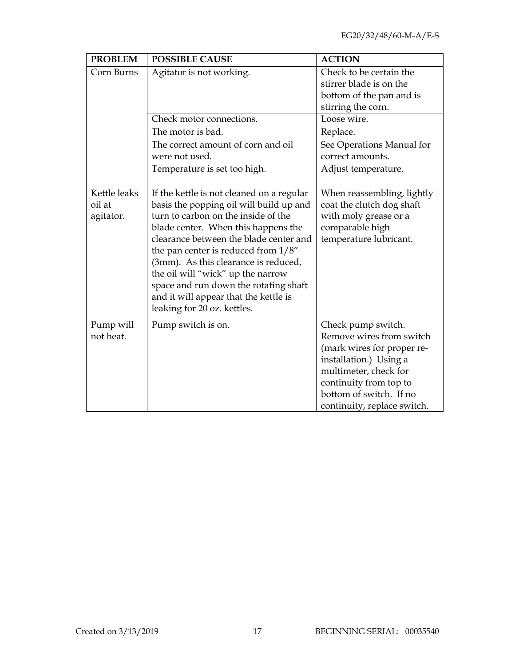| <b>PROBLEM</b>                      | <b>POSSIBLE CAUSE</b>                                                                                                                                                                                                                                                                                                                                                                                                                                | <b>ACTION</b>                                                                                                                                                                                                       |
|-------------------------------------|------------------------------------------------------------------------------------------------------------------------------------------------------------------------------------------------------------------------------------------------------------------------------------------------------------------------------------------------------------------------------------------------------------------------------------------------------|---------------------------------------------------------------------------------------------------------------------------------------------------------------------------------------------------------------------|
| Corn Burns                          | Agitator is not working.                                                                                                                                                                                                                                                                                                                                                                                                                             | Check to be certain the<br>stirrer blade is on the<br>bottom of the pan and is<br>stirring the corn.                                                                                                                |
|                                     | Check motor connections.<br>The motor is bad.                                                                                                                                                                                                                                                                                                                                                                                                        | Loose wire.                                                                                                                                                                                                         |
|                                     | The correct amount of corn and oil<br>were not used.                                                                                                                                                                                                                                                                                                                                                                                                 | Replace.<br>See Operations Manual for<br>correct amounts.                                                                                                                                                           |
|                                     | Temperature is set too high.                                                                                                                                                                                                                                                                                                                                                                                                                         | Adjust temperature.                                                                                                                                                                                                 |
| Kettle leaks<br>oil at<br>agitator. | If the kettle is not cleaned on a regular<br>basis the popping oil will build up and<br>turn to carbon on the inside of the<br>blade center. When this happens the<br>clearance between the blade center and<br>the pan center is reduced from $1/8$ "<br>(3mm). As this clearance is reduced,<br>the oil will "wick" up the narrow<br>space and run down the rotating shaft<br>and it will appear that the kettle is<br>leaking for 20 oz. kettles. | When reassembling, lightly<br>coat the clutch dog shaft<br>with moly grease or a<br>comparable high<br>temperature lubricant.                                                                                       |
| Pump will<br>not heat.              | Pump switch is on.                                                                                                                                                                                                                                                                                                                                                                                                                                   | Check pump switch.<br>Remove wires from switch<br>(mark wires for proper re-<br>installation.) Using a<br>multimeter, check for<br>continuity from top to<br>bottom of switch. If no<br>continuity, replace switch. |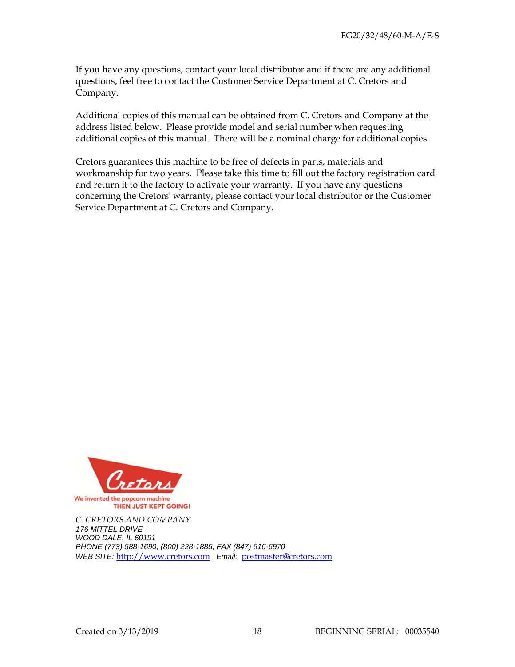If you have any questions, contact your local distributor and if there are any additional questions, feel free to contact the Customer Service Department at C. Cretors and Company.

Additional copies of this manual can be obtained from C. Cretors and Company at the address listed below. Please provide model and serial number when requesting additional copies of this manual. There will be a nominal charge for additional copies.

Cretors guarantees this machine to be free of defects in parts, materials and workmanship for two years. Please take this time to fill out the factory registration card and return it to the factory to activate your warranty. If you have any questions concerning the Cretors' warranty, please contact your local distributor or the Customer Service Department at C. Cretors and Company.



*C. CRETORS AND COMPANY*  176 MITTEL DRIVE WOOD DALE, IL 60191 PHONE (773) 588-1690, (800) 228-1885, FAX (847) 616-6970 WEB SITE: http://www.cretors.com Email: postmaster@cretors.com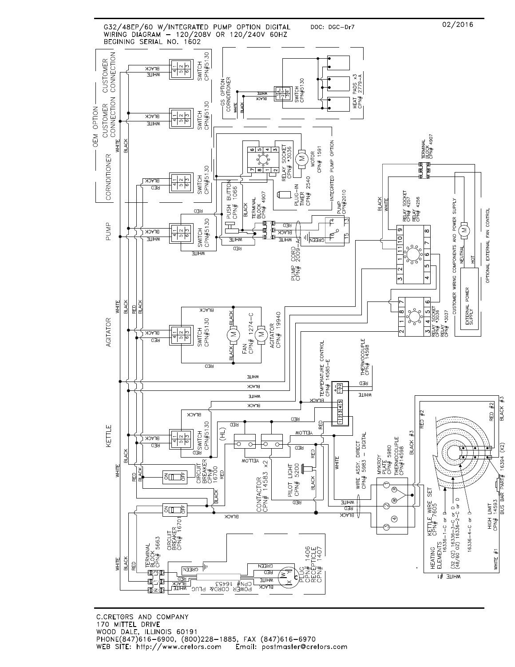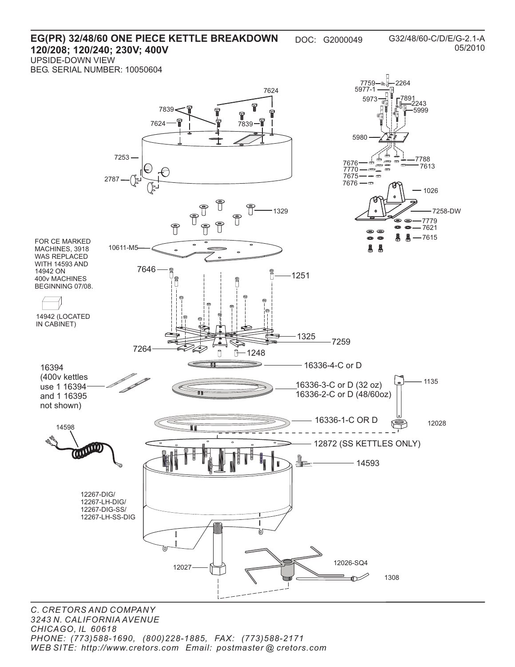#### **EG(PR) 32/48/60 ONE PIECE KETTLE BREAKDOWN** DOC: G2000049 **120/208; 120/240; 230V; 400V** UPSIDE-DOWN VIEW

BEG. SERIAL NUMBER: 10050604

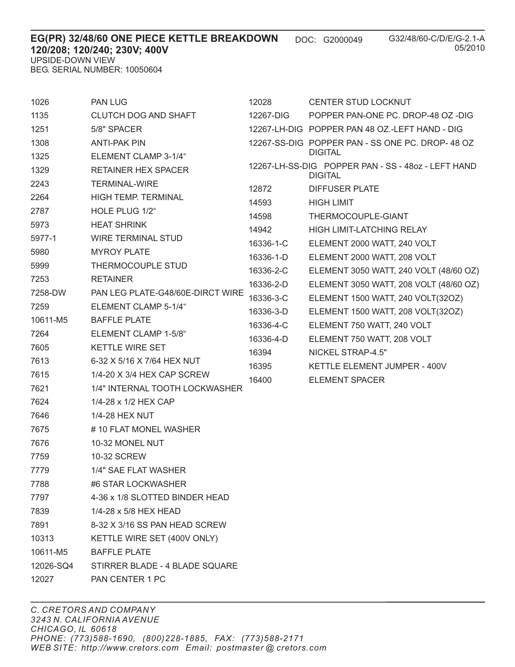| EG(PR) 32/48/60 ONE PIECE KETTLE BREAKDOWN | DOC: G2000049 |
|--------------------------------------------|---------------|
| 120/208; 120/240; 230V; 400V               |               |
| UPSIDE-DOWN VIEW                           |               |
| BEG. SERIAL NUMBER: 10050604               |               |

|      | BEG. SERIAL NUMBER: 10050604 |                                                                      |  |
|------|------------------------------|----------------------------------------------------------------------|--|
| 1026 | <b>PAN LUG</b>               | 12028<br>CENTER STUD LOCKNUT                                         |  |
| 1135 | CLUTCH DOG AND SHAFT         | 12267-DIG<br>POPPER PAN-ONE PC. DROP-48 OZ -DIG                      |  |
| 1251 | 5/8" SPACER                  | 12267-LH-DIG POPPER PAN 48 OZ.-LEFT HAND - DIG                       |  |
| 1308 | <b>ANTI-PAK PIN</b>          | 12267-SS-DIG POPPER PAN - SS ONE PC. DROP- 48 OZ                     |  |
| 1325 | ELEMENT CLAMP 3-1/4"         | <b>DIGITAL</b>                                                       |  |
| 1329 | RETAINER HEX SPACER          | 12267-LH-SS-DIG POPPER PAN - SS - 4807 - LEFT HAND<br><b>DIGITAL</b> |  |
| 2243 | TERMINAL-WIRE                | 12872<br>DIFFUSER PLATE                                              |  |
| 2264 | HIGH TEMP TERMINAL           |                                                                      |  |

| 2264     | <b>HIGH TEMP, TERMINAL</b>       | 14593     | <b>HIGH LIMIT</b>                      |
|----------|----------------------------------|-----------|----------------------------------------|
| 2787     | HOLE PLUG 1/2"                   | 14598     | THERMOCOUPLE-GIANT                     |
| 5973     | <b>HEAT SHRINK</b>               | 14942     | <b>HIGH LIMIT-LATCHING RELAY</b>       |
| 5977-1   | <b>WIRE TERMINAL STUD</b>        | 16336-1-C | ELEMENT 2000 WATT, 240 VOLT            |
| 5980     | <b>MYROY PLATE</b>               | 16336-1-D | ELEMENT 2000 WATT, 208 VOLT            |
| 5999     | THERMOCOUPLE STUD                | 16336-2-C | ELEMENT 3050 WATT, 240 VOLT (48/60 OZ) |
| 7253     | <b>RETAINER</b>                  | 16336-2-D | ELEMENT 3050 WATT, 208 VOLT (48/60 OZ) |
| 7258-DW  | PAN LEG PLATE-G48/60E-DIRCT WIRE | 16336-3-C | ELEMENT 1500 WATT, 240 VOLT(32OZ)      |
| 7259     | ELEMENT CLAMP 5-1/4"             | 16336-3-D | ELEMENT 1500 WATT, 208 VOLT(32OZ)      |
| 10611-M5 | <b>BAFFLE PLATE</b>              | 16336-4-C | ELEMENT 750 WATT, 240 VOLT             |
| 7264     | ELEMENT CLAMP 1-5/8"             | 16336-4-D | ELEMENT 750 WATT, 208 VOLT             |
| 7605     | <b>KETTLE WIRE SET</b>           | 16394     | NICKEL STRAP-4.5"                      |
| 7613     | 6-32 X 5/16 X 7/64 HEX NUT       | 16395     | KETTLE ELEMENT JUMPER - 400V           |
| 7615     | 1/4-20 X 3/4 HEX CAP SCREW       | 16400     | ELEMENT SPACER                         |
|          |                                  |           |                                        |

7646 1/4-28 HEX NUT

7624 1/4-28 x 1/2 HEX CAP

- 7675 # 10 FLAT MONEL WASHER
- 7676 10-32 MONEL NUT
- 7759 10-32 SCREW
- 7779 1/4" SAE FLAT WASHER
- 7788 #6 STAR LOCKWASHER
- 7797 4-36 x 1/8 SLOTTED BINDER HEAD

7621 1/4" INTERNAL TOOTH LOCKWASHER

- 7839 1/4-28 x 5/8 HEX HEAD
- 7891 8-32 X 3/16 SS PAN HEAD SCREW
- 10313 KETTLE WIRE SET (400V ONLY)
- 10611-M5 BAFFLE PLATE
- 12026-SQ4 STIRRER BLADE 4 BLADE SQUARE
- 12027 PAN CENTER 1 PC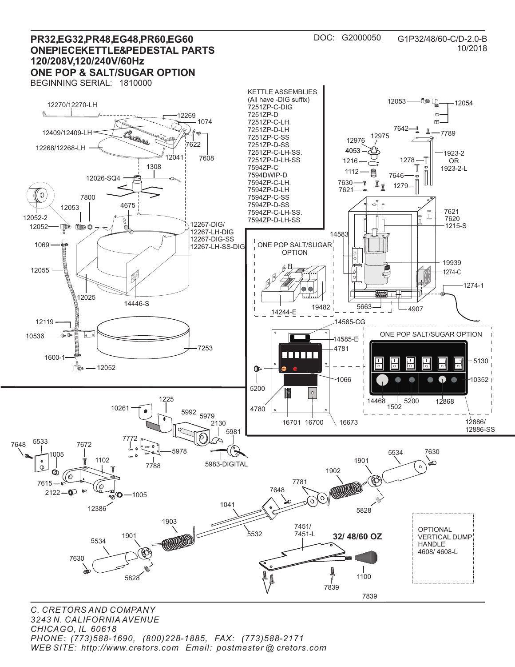

*C. CRETORS AND COMPANY 3243 N. CALIFORNIA AVENUE CHICAGO, IL 60618 PHONE: (773)588-1690, (800)228-1885, FAX: (773)588-2171 WEB SITE: http://www.cretors.com Email: postmaster @ cretors.com*